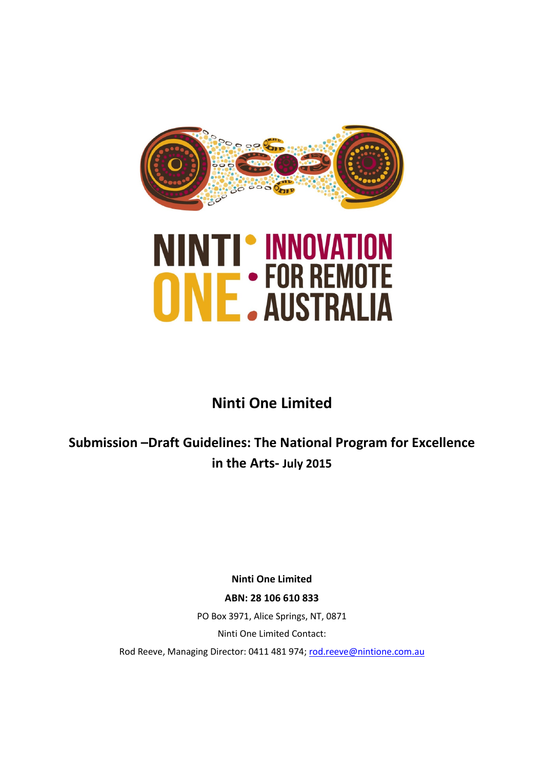

# **NINTI' INNOVATION<br>ONE: FOR REMOTE**

# **Ninti One Limited**

**Submission –Draft Guidelines: The National Program for Excellence in the Arts- July 2015**

> **Ninti One Limited ABN: 28 106 610 833**

PO Box 3971, Alice Springs, NT, 0871 Ninti One Limited Contact:

Rod Reeve, Managing Director: 0411 481 974; [rod.reeve@nintione.com.au](mailto:rod.reeve@nintione.com.au)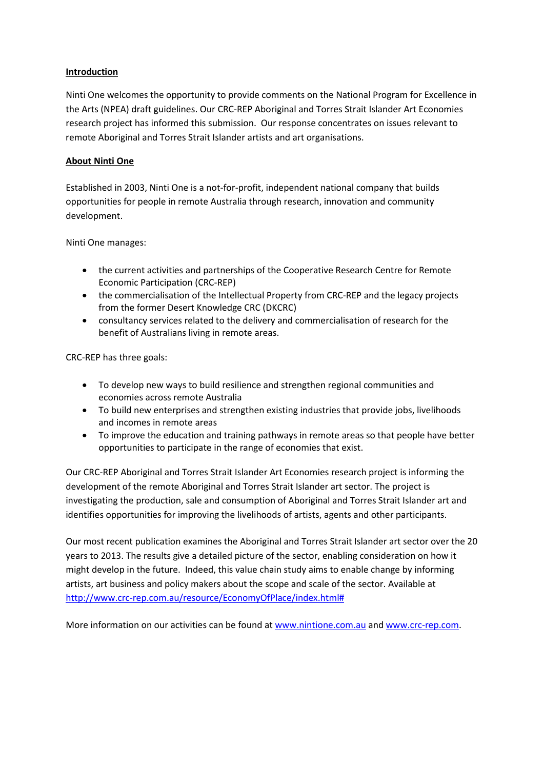#### **Introduction**

Ninti One welcomes the opportunity to provide comments on the National Program for Excellence in the Arts (NPEA) draft guidelines. Our CRC-REP Aboriginal and Torres Strait Islander Art Economies research project has informed this submission. Our response concentrates on issues relevant to remote Aboriginal and Torres Strait Islander artists and art organisations.

#### **About Ninti One**

Established in 2003, Ninti One is a not-for-profit, independent national company that builds opportunities for people in remote Australia through research, innovation and community development.

Ninti One manages:

- the current activities and partnerships of the Cooperative Research Centre for Remote Economic Participation (CRC-REP)
- the commercialisation of the Intellectual Property from CRC-REP and the legacy projects from the former Desert Knowledge CRC (DKCRC)
- consultancy services related to the delivery and commercialisation of research for the benefit of Australians living in remote areas.

CRC-REP has three goals:

- To develop new ways to build resilience and strengthen regional communities and economies across remote Australia
- To build new enterprises and strengthen existing industries that provide jobs, livelihoods and incomes in remote areas
- To improve the education and training pathways in remote areas so that people have better opportunities to participate in the range of economies that exist.

Our CRC-REP Aboriginal and Torres Strait Islander Art Economies research project is informing the development of the remote Aboriginal and Torres Strait Islander art sector. The project is investigating the production, sale and consumption of Aboriginal and Torres Strait Islander art and identifies opportunities for improving the livelihoods of artists, agents and other participants.

Our most recent publication examines the Aboriginal and Torres Strait Islander art sector over the 20 years to 2013. The results give a detailed picture of the sector, enabling consideration on how it might develop in the future. Indeed, this value chain study aims to enable change by informing artists, art business and policy makers about the scope and scale of the sector. Available at [http://www.crc-rep.com.au/resource/EconomyOfPlace/index.html#](http://www.crc-rep.com.au/resource/EconomyOfPlace/index.html)

More information on our activities can be found at [www.nintione.com.au](http://www.nintione.com.au/) an[d www.crc-rep.com.](http://www.crc-rep.com/)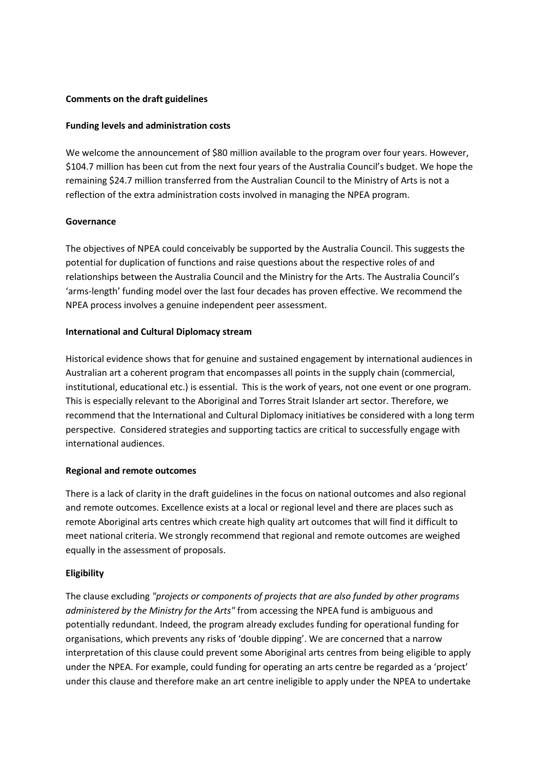#### **Comments on the draft guidelines**

#### **Funding levels and administration costs**

We welcome the announcement of \$80 million available to the program over four years. However, \$104.7 million has been cut from the next four years of the Australia Council's budget. We hope the remaining \$24.7 million transferred from the Australian Council to the Ministry of Arts is not a reflection of the extra administration costs involved in managing the NPEA program.

#### **Governance**

The objectives of NPEA could conceivably be supported by the Australia Council. This suggests the potential for duplication of functions and raise questions about the respective roles of and relationships between the Australia Council and the Ministry for the Arts. The Australia Council's 'arms-length' funding model over the last four decades has proven effective. We recommend the NPEA process involves a genuine independent peer assessment.

#### **International and Cultural Diplomacy stream**

Historical evidence shows that for genuine and sustained engagement by international audiences in Australian art a coherent program that encompasses all points in the supply chain (commercial, institutional, educational etc.) is essential. This is the work of years, not one event or one program. This is especially relevant to the Aboriginal and Torres Strait Islander art sector. Therefore, we recommend that the International and Cultural Diplomacy initiatives be considered with a long term perspective. Considered strategies and supporting tactics are critical to successfully engage with international audiences.

# **Regional and remote outcomes**

There is a lack of clarity in the draft guidelines in the focus on national outcomes and also regional and remote outcomes. Excellence exists at a local or regional level and there are places such as remote Aboriginal arts centres which create high quality art outcomes that will find it difficult to meet national criteria. We strongly recommend that regional and remote outcomes are weighed equally in the assessment of proposals.

# **Eligibility**

The clause excluding *"projects or components of projects that are also funded by other programs administered by the Ministry for the Arts"* from accessing the NPEA fund is ambiguous and potentially redundant. Indeed, the program already excludes funding for operational funding for organisations, which prevents any risks of 'double dipping'. We are concerned that a narrow interpretation of this clause could prevent some Aboriginal arts centres from being eligible to apply under the NPEA. For example, could funding for operating an arts centre be regarded as a 'project' under this clause and therefore make an art centre ineligible to apply under the NPEA to undertake